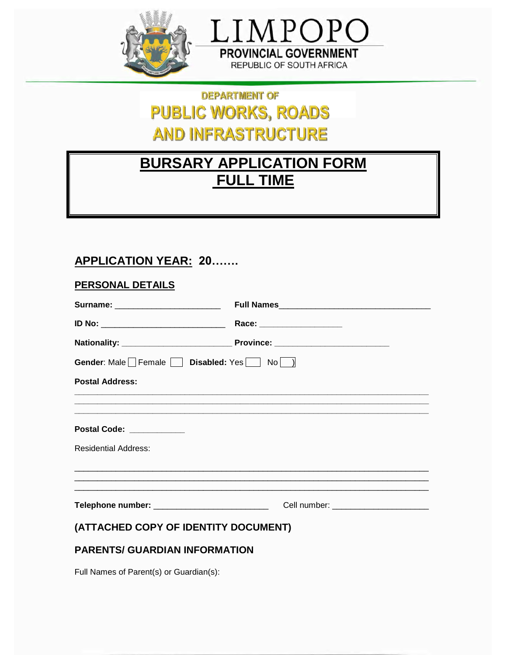



# **DEPARTMENT OF PUBLIC WORKS, ROADS AND INFRASTRUCTURE**

# **BURSARY APPLICATION FORM FULL TIME**

# **APPLICATION YEAR: 20.......**

| <b>PERSONAL DETAILS</b>                           |                                        |
|---------------------------------------------------|----------------------------------------|
| Surname: ___________________________              |                                        |
| <u>ID No: ______________________________</u>      | Race: __________________               |
|                                                   |                                        |
| Gender: Male Female Disabled: Yes   No   )        |                                        |
| <b>Postal Address:</b>                            |                                        |
| Postal Code: ____________                         |                                        |
| <b>Residential Address:</b>                       |                                        |
| Telephone number: _______________________________ | Cell number: _________________________ |
| (ATTACHED COPY OF IDENTITY DOCUMENT)              |                                        |

# **PARENTS/ GUARDIAN INFORMATION**

Full Names of Parent(s) or Guardian(s):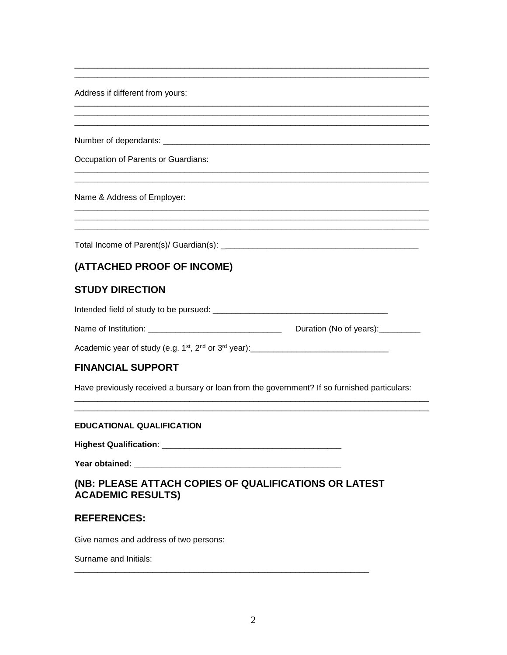Address if different from yours:

Occupation of Parents or Guardians:

Name & Address of Employer:

## (ATTACHED PROOF OF INCOME)

#### **STUDY DIRECTION**

Academic year of study (e.g.  $1^{st}$ ,  $2^{nd}$  or  $3^{rd}$  year):

#### **FINANCIAL SUPPORT**

Have previously received a bursary or loan from the government? If so furnished particulars:

#### **EDUCATIONAL QUALIFICATION**

Year obtained: \_\_\_\_\_\_\_\_\_

## (NB: PLEASE ATTACH COPIES OF QUALIFICATIONS OR LATEST **ACADEMIC RESULTS)**

#### **REFERENCES:**

Give names and address of two persons:

Surname and Initials: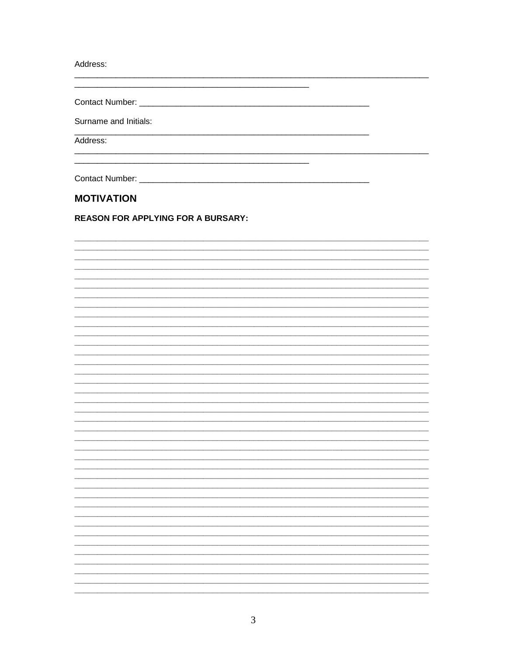Address:

Surname and Initials:

Address:

Contact Number: William School School School School School School School School School School School School School School School School School School School School School School School School School School School School Sc

## **MOTIVATION**

**REASON FOR APPLYING FOR A BURSARY:**